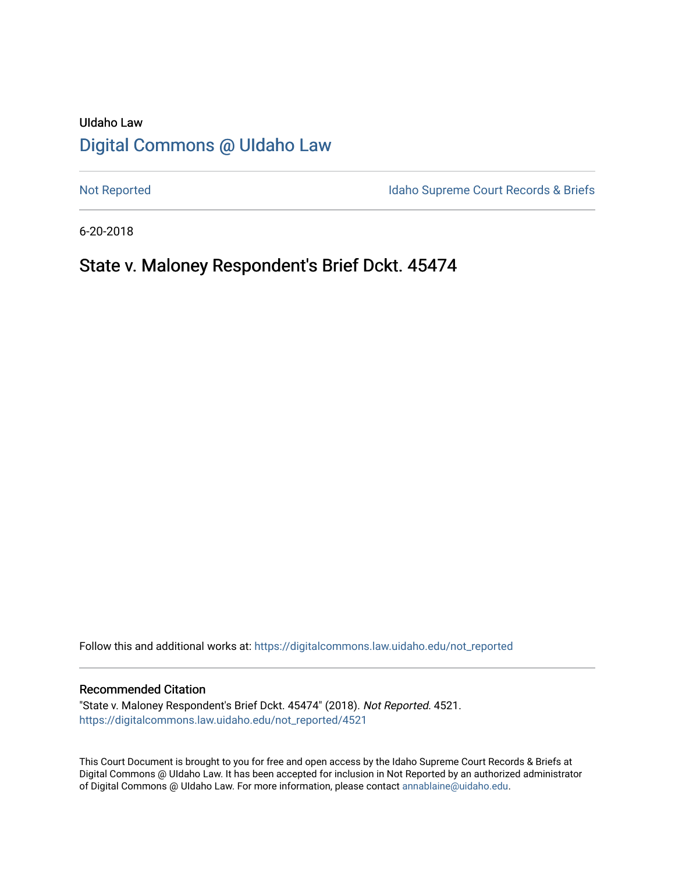## UIdaho Law [Digital Commons @ UIdaho Law](https://digitalcommons.law.uidaho.edu/)

[Not Reported](https://digitalcommons.law.uidaho.edu/not_reported) **Idaho Supreme Court Records & Briefs** 

6-20-2018

## State v. Maloney Respondent's Brief Dckt. 45474

Follow this and additional works at: [https://digitalcommons.law.uidaho.edu/not\\_reported](https://digitalcommons.law.uidaho.edu/not_reported?utm_source=digitalcommons.law.uidaho.edu%2Fnot_reported%2F4521&utm_medium=PDF&utm_campaign=PDFCoverPages) 

#### Recommended Citation

"State v. Maloney Respondent's Brief Dckt. 45474" (2018). Not Reported. 4521. [https://digitalcommons.law.uidaho.edu/not\\_reported/4521](https://digitalcommons.law.uidaho.edu/not_reported/4521?utm_source=digitalcommons.law.uidaho.edu%2Fnot_reported%2F4521&utm_medium=PDF&utm_campaign=PDFCoverPages)

This Court Document is brought to you for free and open access by the Idaho Supreme Court Records & Briefs at Digital Commons @ UIdaho Law. It has been accepted for inclusion in Not Reported by an authorized administrator of Digital Commons @ UIdaho Law. For more information, please contact [annablaine@uidaho.edu](mailto:annablaine@uidaho.edu).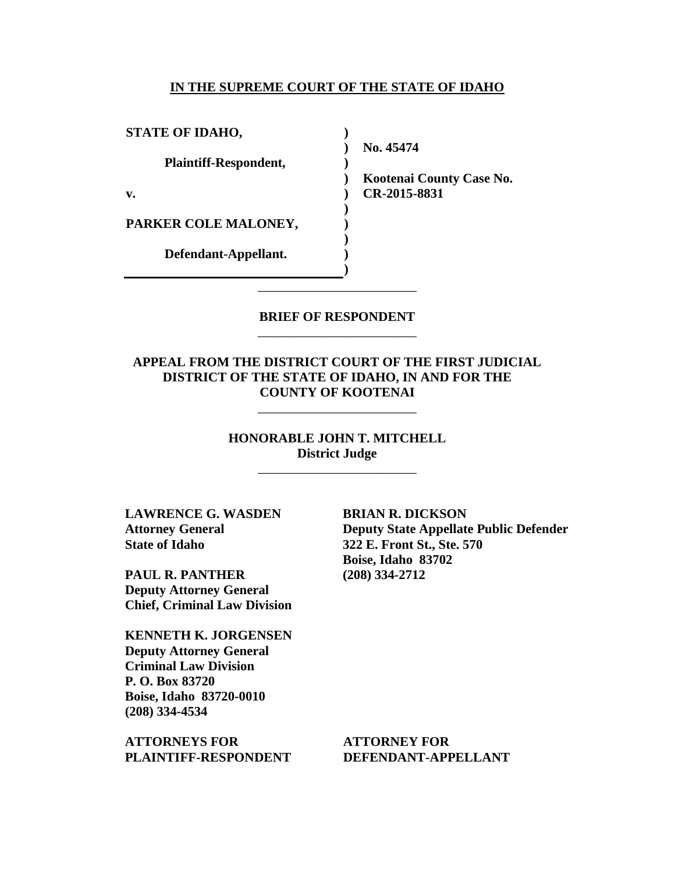#### **IN THE SUPREME COURT OF THE STATE OF IDAHO**

**) ) ) ) ) ) ) ) ) )**

**STATE OF IDAHO,**

**Plaintiff-Respondent,**

**v.** 

**PARKER COLE MALONEY,** 

**Defendant-Appellant.**

**No. 45474** 

**Kootenai County Case No. CR-2015-8831** 

### **BRIEF OF RESPONDENT** \_\_\_\_\_\_\_\_\_\_\_\_\_\_\_\_\_\_\_\_\_\_\_\_

\_\_\_\_\_\_\_\_\_\_\_\_\_\_\_\_\_\_\_\_\_\_\_\_

**APPEAL FROM THE DISTRICT COURT OF THE FIRST JUDICIAL DISTRICT OF THE STATE OF IDAHO, IN AND FOR THE COUNTY OF KOOTENAI**

\_\_\_\_\_\_\_\_\_\_\_\_\_\_\_\_\_\_\_\_\_\_\_\_

**HONORABLE JOHN T. MITCHELL District Judge**

\_\_\_\_\_\_\_\_\_\_\_\_\_\_\_\_\_\_\_\_\_\_\_\_

**LAWRENCE G. WASDEN Attorney General State of Idaho** 

**PAUL R. PANTHER Deputy Attorney General Chief, Criminal Law Division**

**KENNETH K. JORGENSEN Deputy Attorney General Criminal Law Division P. O. Box 83720 Boise, Idaho 83720-0010 (208) 334-4534** 

**ATTORNEYS FOR PLAINTIFF-RESPONDENT** **BRIAN R. DICKSON Deputy State Appellate Public Defender 322 E. Front St., Ste. 570 Boise, Idaho 83702 (208) 334-2712** 

**ATTORNEY FOR DEFENDANT-APPELLANT**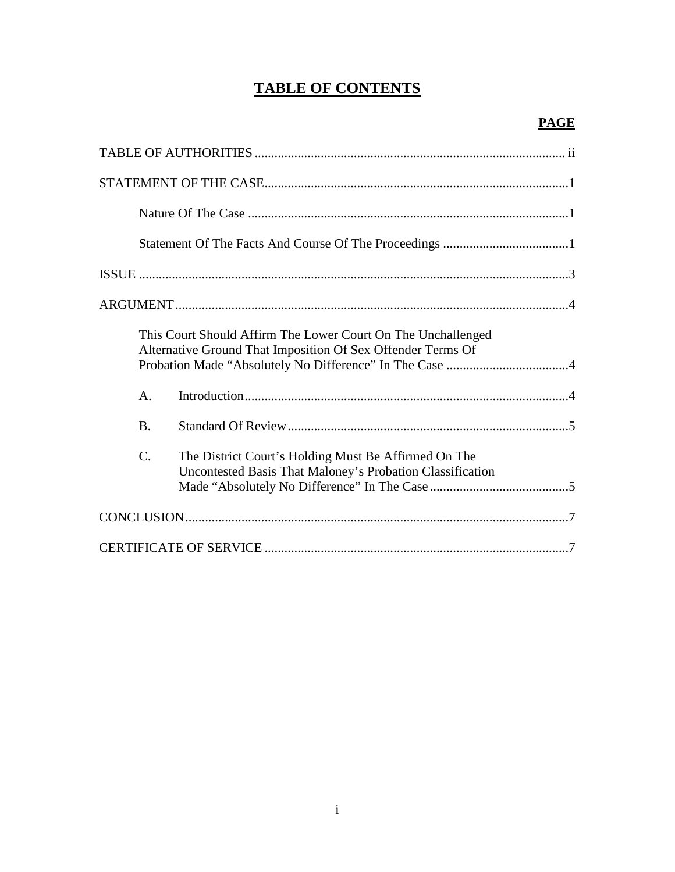# **TABLE OF CONTENTS**

| This Court Should Affirm The Lower Court On The Unchallenged<br>Alternative Ground That Imposition Of Sex Offender Terms Of |
|-----------------------------------------------------------------------------------------------------------------------------|
| А.                                                                                                                          |
| <b>B.</b>                                                                                                                   |
| C.<br>The District Court's Holding Must Be Affirmed On The<br>Uncontested Basis That Maloney's Probation Classification     |
|                                                                                                                             |
|                                                                                                                             |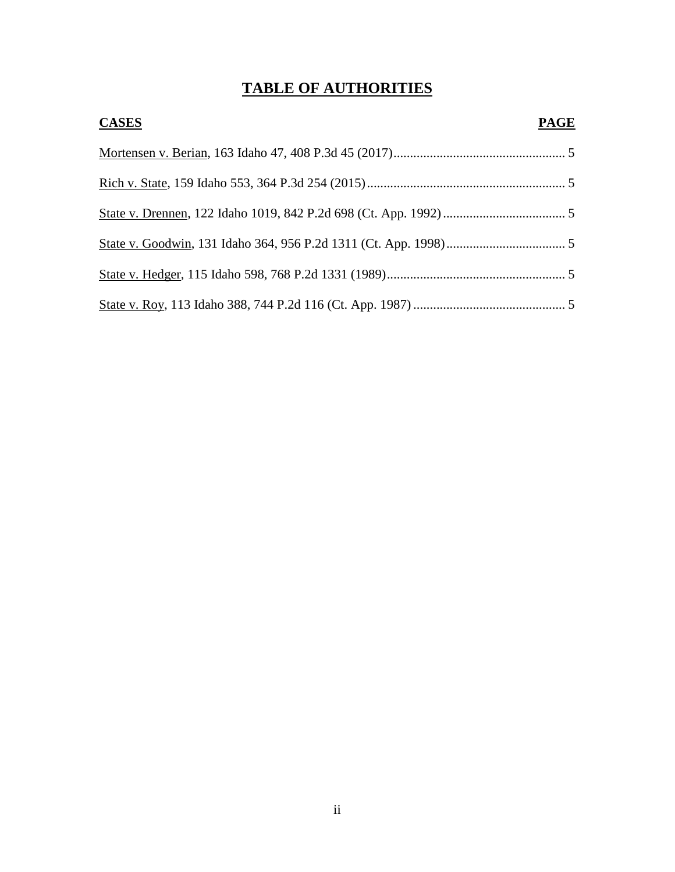# **TABLE OF AUTHORITIES**

| <b>CASES</b> | <b>PAGE</b> |
|--------------|-------------|
|              |             |
|              |             |
|              |             |
|              |             |
|              |             |
|              |             |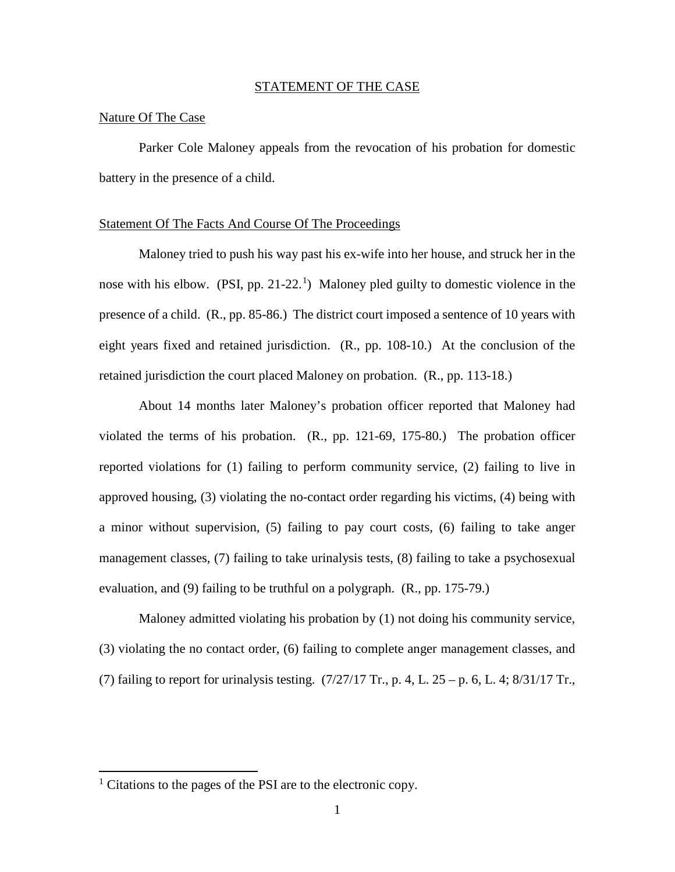#### STATEMENT OF THE CASE

#### Nature Of The Case

Parker Cole Maloney appeals from the revocation of his probation for domestic battery in the presence of a child.

#### Statement Of The Facts And Course Of The Proceedings

Maloney tried to push his way past his ex-wife into her house, and struck her in the nose with his elbow.  $(PSI, pp. 21-22<sup>1</sup>)$  $(PSI, pp. 21-22<sup>1</sup>)$  $(PSI, pp. 21-22<sup>1</sup>)$  Maloney pled guilty to domestic violence in the presence of a child. (R., pp. 85-86.) The district court imposed a sentence of 10 years with eight years fixed and retained jurisdiction. (R., pp. 108-10.) At the conclusion of the retained jurisdiction the court placed Maloney on probation. (R., pp. 113-18.)

 About 14 months later Maloney's probation officer reported that Maloney had violated the terms of his probation. (R., pp. 121-69, 175-80.) The probation officer reported violations for (1) failing to perform community service, (2) failing to live in approved housing, (3) violating the no-contact order regarding his victims, (4) being with a minor without supervision, (5) failing to pay court costs, (6) failing to take anger management classes, (7) failing to take urinalysis tests, (8) failing to take a psychosexual evaluation, and (9) failing to be truthful on a polygraph. (R., pp. 175-79.)

Maloney admitted violating his probation by (1) not doing his community service, (3) violating the no contact order, (6) failing to complete anger management classes, and (7) failing to report for urinalysis testing.  $(7/27/17 \text{ Tr}$ , p. 4, L. 25 – p. 6, L. 4;  $8/31/17 \text{ Tr}$ .

 $\overline{a}$ 

<span id="page-4-0"></span> $<sup>1</sup>$  Citations to the pages of the PSI are to the electronic copy.</sup>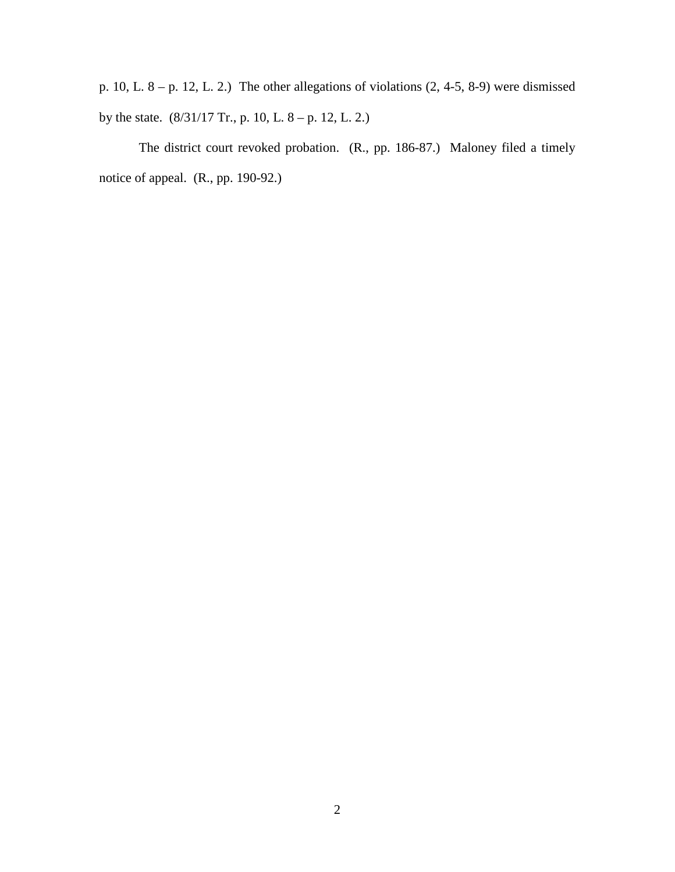p. 10, L.  $8 - p$ . 12, L. 2.) The other allegations of violations  $(2, 4-5, 8-9)$  were dismissed by the state.  $(8/31/17 \text{ Tr.}, p. 10, L. 8 - p. 12, L. 2.)$ 

The district court revoked probation. (R., pp. 186-87.) Maloney filed a timely notice of appeal. (R., pp. 190-92.)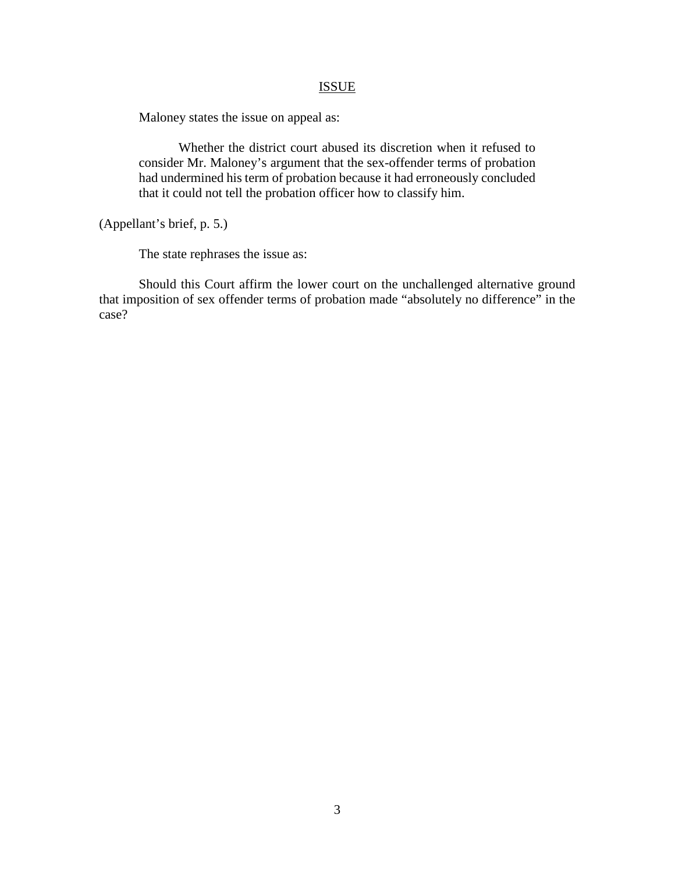#### ISSUE

Maloney states the issue on appeal as:

Whether the district court abused its discretion when it refused to consider Mr. Maloney's argument that the sex-offender terms of probation had undermined his term of probation because it had erroneously concluded that it could not tell the probation officer how to classify him.

(Appellant's brief, p. 5.)

The state rephrases the issue as:

Should this Court affirm the lower court on the unchallenged alternative ground that imposition of sex offender terms of probation made "absolutely no difference" in the case?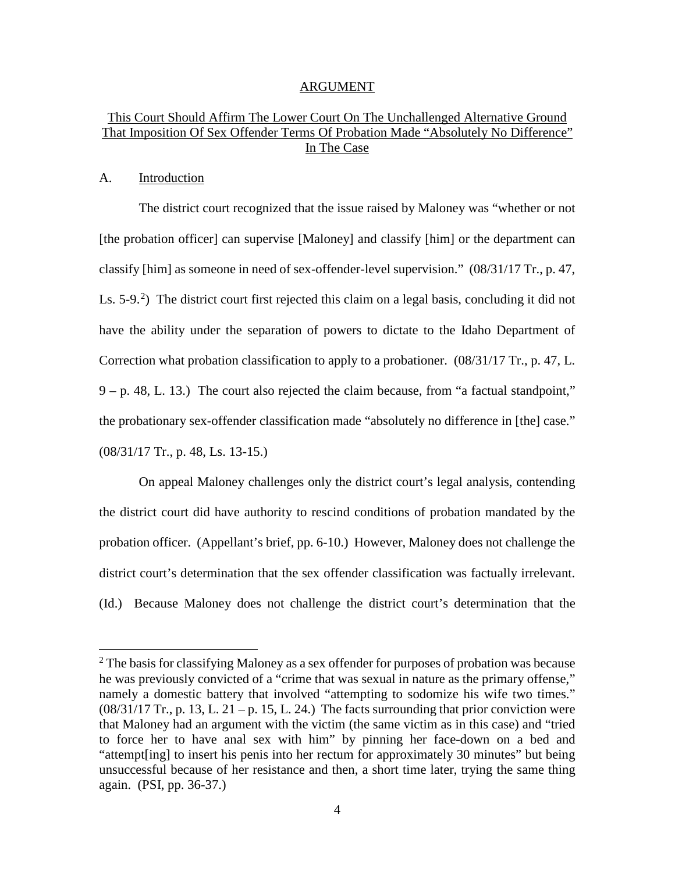#### ARGUMENT

## This Court Should Affirm The Lower Court On The Unchallenged Alternative Ground That Imposition Of Sex Offender Terms Of Probation Made "Absolutely No Difference" In The Case

#### A. Introduction

 $\overline{a}$ 

The district court recognized that the issue raised by Maloney was "whether or not [the probation officer] can supervise [Maloney] and classify [him] or the department can classify [him] as someone in need of sex-offender-level supervision." (08/31/17 Tr., p. 47, Ls.  $5-9<sup>2</sup>$  $5-9<sup>2</sup>$  $5-9<sup>2</sup>$ ) The district court first rejected this claim on a legal basis, concluding it did not have the ability under the separation of powers to dictate to the Idaho Department of Correction what probation classification to apply to a probationer. (08/31/17 Tr., p. 47, L. 9 – p. 48, L. 13.) The court also rejected the claim because, from "a factual standpoint," the probationary sex-offender classification made "absolutely no difference in [the] case." (08/31/17 Tr., p. 48, Ls. 13-15.)

On appeal Maloney challenges only the district court's legal analysis, contending the district court did have authority to rescind conditions of probation mandated by the probation officer. (Appellant's brief, pp. 6-10.) However, Maloney does not challenge the district court's determination that the sex offender classification was factually irrelevant. (Id.) Because Maloney does not challenge the district court's determination that the

<span id="page-7-0"></span> $2^2$  The basis for classifying Maloney as a sex offender for purposes of probation was because he was previously convicted of a "crime that was sexual in nature as the primary offense," namely a domestic battery that involved "attempting to sodomize his wife two times."  $(08/31/17$  Tr., p. 13, L. 21 – p. 15, L. 24.) The facts surrounding that prior conviction were that Maloney had an argument with the victim (the same victim as in this case) and "tried to force her to have anal sex with him" by pinning her face-down on a bed and "attempt[ing] to insert his penis into her rectum for approximately 30 minutes" but being unsuccessful because of her resistance and then, a short time later, trying the same thing again. (PSI, pp. 36-37.)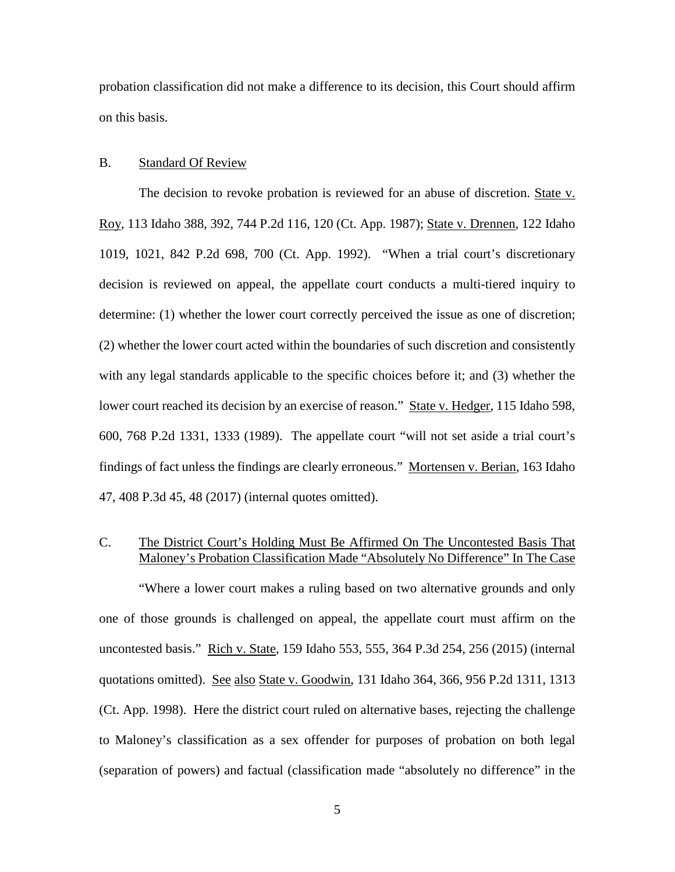probation classification did not make a difference to its decision, this Court should affirm on this basis.

#### B. Standard Of Review

The decision to revoke probation is reviewed for an abuse of discretion. State v. Roy, 113 Idaho 388, 392, 744 P.2d 116, 120 (Ct. App. 1987); State v. Drennen, 122 Idaho 1019, 1021, 842 P.2d 698, 700 (Ct. App. 1992). "When a trial court's discretionary decision is reviewed on appeal, the appellate court conducts a multi-tiered inquiry to determine: (1) whether the lower court correctly perceived the issue as one of discretion; (2) whether the lower court acted within the boundaries of such discretion and consistently with any legal standards applicable to the specific choices before it; and (3) whether the lower court reached its decision by an exercise of reason." State v. Hedger, 115 Idaho 598, 600, 768 P.2d 1331, 1333 (1989). The appellate court "will not set aside a trial court's findings of fact unless the findings are clearly erroneous." Mortensen v. Berian, 163 Idaho 47, 408 P.3d 45, 48 (2017) (internal quotes omitted).

## C. The District Court's Holding Must Be Affirmed On The Uncontested Basis That Maloney's Probation Classification Made "Absolutely No Difference" In The Case

"Where a lower court makes a ruling based on two alternative grounds and only one of those grounds is challenged on appeal, the appellate court must affirm on the uncontested basis." Rich v. State, 159 Idaho 553, 555, 364 P.3d 254, 256 (2015) (internal quotations omitted). See also State v. Goodwin, 131 Idaho 364, 366, 956 P.2d 1311, 1313 (Ct. App. 1998). Here the district court ruled on alternative bases, rejecting the challenge to Maloney's classification as a sex offender for purposes of probation on both legal (separation of powers) and factual (classification made "absolutely no difference" in the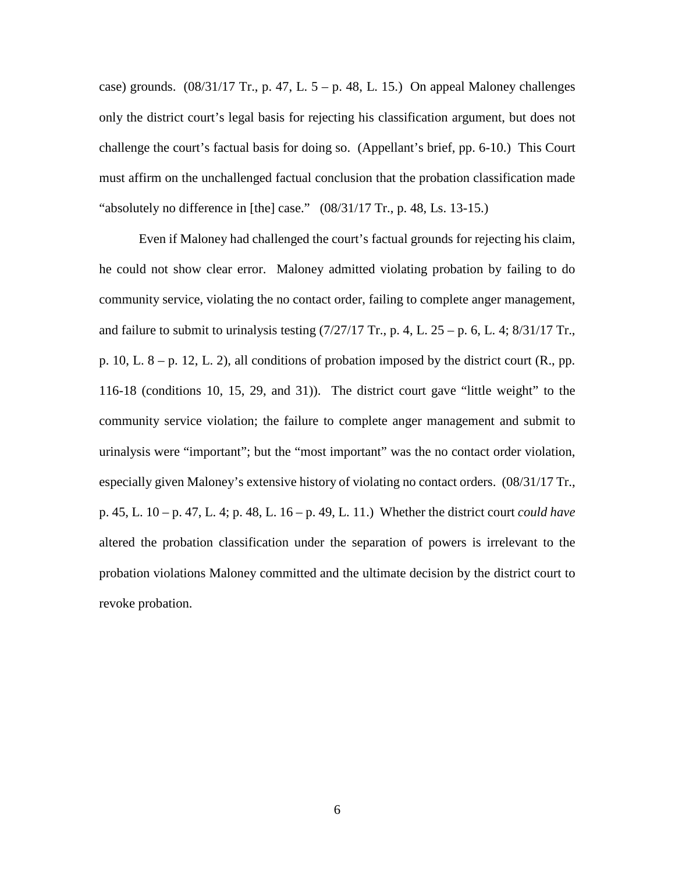case) grounds.  $(08/31/17 \text{ Tr.}, p. 47, L. 5 - p. 48, L. 15.)$  On appeal Maloney challenges only the district court's legal basis for rejecting his classification argument, but does not challenge the court's factual basis for doing so. (Appellant's brief, pp. 6-10.) This Court must affirm on the unchallenged factual conclusion that the probation classification made "absolutely no difference in [the] case."  $(08/31/17 \text{ Tr.}, p. 48, Ls. 13-15.)$ 

Even if Maloney had challenged the court's factual grounds for rejecting his claim, he could not show clear error. Maloney admitted violating probation by failing to do community service, violating the no contact order, failing to complete anger management, and failure to submit to urinalysis testing  $(7/27/17 \text{ Tr}$ , p. 4, L. 25 – p. 6, L. 4;  $8/31/17 \text{ Tr}$ . p. 10, L.  $8 - p$ . 12, L. 2), all conditions of probation imposed by the district court  $(R_1, pp_1)$ . 116-18 (conditions 10, 15, 29, and 31)). The district court gave "little weight" to the community service violation; the failure to complete anger management and submit to urinalysis were "important"; but the "most important" was the no contact order violation, especially given Maloney's extensive history of violating no contact orders. (08/31/17 Tr., p. 45, L. 10 – p. 47, L. 4; p. 48, L. 16 – p. 49, L. 11.) Whether the district court *could have* altered the probation classification under the separation of powers is irrelevant to the probation violations Maloney committed and the ultimate decision by the district court to revoke probation.